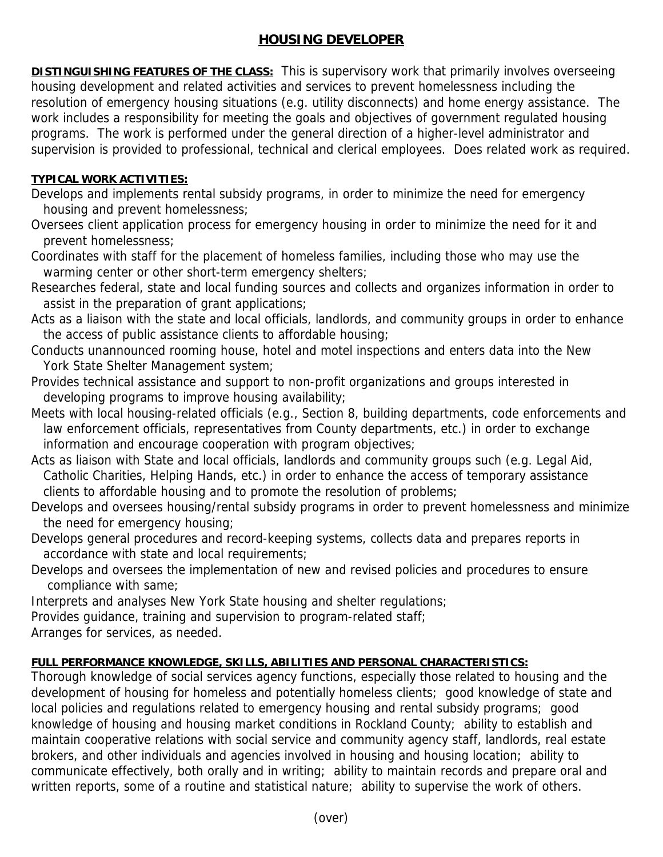## **HOUSING DEVELOPER**

**DISTINGUISHING FEATURES OF THE CLASS:** This is supervisory work that primarily involves overseeing housing development and related activities and services to prevent homelessness including the resolution of emergency housing situations (e.g. utility disconnects) and home energy assistance. The work includes a responsibility for meeting the goals and objectives of government regulated housing programs. The work is performed under the general direction of a higher-level administrator and supervision is provided to professional, technical and clerical employees. Does related work as required.

## **TYPICAL WORK ACTIVITIES:**

- Develops and implements rental subsidy programs, in order to minimize the need for emergency housing and prevent homelessness;
- Oversees client application process for emergency housing in order to minimize the need for it and prevent homelessness;
- Coordinates with staff for the placement of homeless families, including those who may use the warming center or other short-term emergency shelters;
- Researches federal, state and local funding sources and collects and organizes information in order to assist in the preparation of grant applications;
- Acts as a liaison with the state and local officials, landlords, and community groups in order to enhance the access of public assistance clients to affordable housing;
- Conducts unannounced rooming house, hotel and motel inspections and enters data into the New York State Shelter Management system;
- Provides technical assistance and support to non-profit organizations and groups interested in developing programs to improve housing availability;
- Meets with local housing-related officials (e.g., Section 8, building departments, code enforcements and law enforcement officials, representatives from County departments, etc.) in order to exchange information and encourage cooperation with program objectives;
- Acts as liaison with State and local officials, landlords and community groups such (e.g. Legal Aid, Catholic Charities, Helping Hands, etc.) in order to enhance the access of temporary assistance clients to affordable housing and to promote the resolution of problems;
- Develops and oversees housing/rental subsidy programs in order to prevent homelessness and minimize the need for emergency housing;
- Develops general procedures and record-keeping systems, collects data and prepares reports in accordance with state and local requirements;
- Develops and oversees the implementation of new and revised policies and procedures to ensure compliance with same;
- Interprets and analyses New York State housing and shelter regulations;
- Provides guidance, training and supervision to program-related staff;

Arranges for services, as needed.

## **FULL PERFORMANCE KNOWLEDGE, SKILLS, ABILITIES AND PERSONAL CHARACTERISTICS:**

Thorough knowledge of social services agency functions, especially those related to housing and the development of housing for homeless and potentially homeless clients; good knowledge of state and local policies and regulations related to emergency housing and rental subsidy programs; good knowledge of housing and housing market conditions in Rockland County; ability to establish and maintain cooperative relations with social service and community agency staff, landlords, real estate brokers, and other individuals and agencies involved in housing and housing location; ability to communicate effectively, both orally and in writing; ability to maintain records and prepare oral and written reports, some of a routine and statistical nature; ability to supervise the work of others.